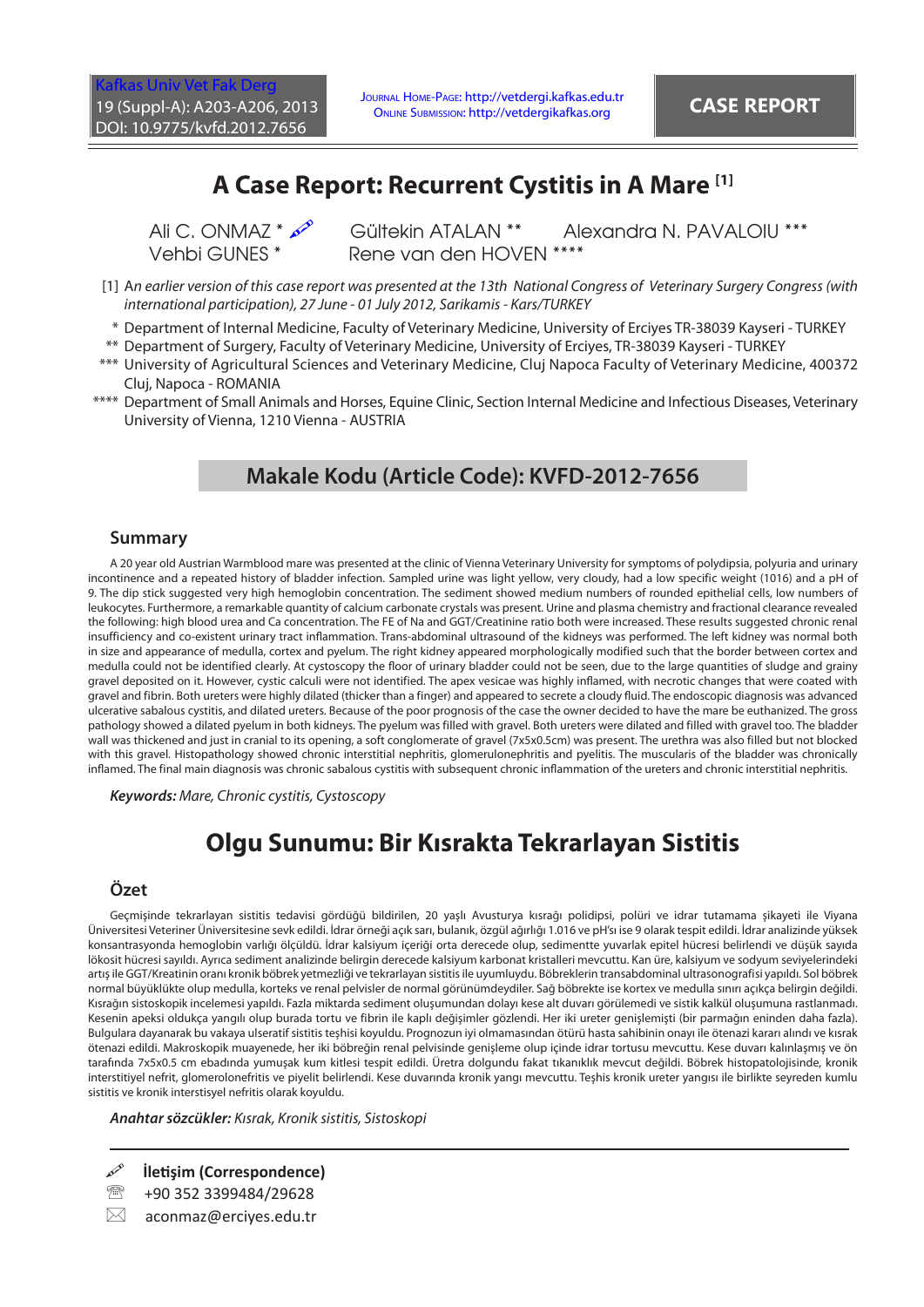# **A Case Report: Recurrent Cystitis in A Mare [1]**

Ali C. ONMAZ \*  $\infty$  Gültekin ATALAN \*\* Alexandra N. PAVALOIU \*\*\*<br>Vehbi GUNFS \* Rene van den HOVFN \*\*\*\* Rene van den HOVEN \*\*\*\*

- [1] A*n earlier version of this case report was presented at the 13th National Congress of Veterinary Surgery Congress (with international participation), 27 June - 01 July 2012, Sarikamis - Kars/TURKEY*
- \* Department of Internal Medicine, Faculty of Veterinary Medicine, University of Erciyes TR-38039 Kayseri TURKEY
- \*\* Department of Surgery, Faculty of Veterinary Medicine, University of Erciyes, TR-38039 Kayseri TURKEY
- \*\*\* University of Agricultural Sciences and Veterinary Medicine, Cluj Napoca Faculty of Veterinary Medicine, 400372 Cluj, Napoca - ROMANIA
- \*\*\*\* Department of Small Animals and Horses, Equine Clinic, Section Internal Medicine and Infectious Diseases, Veterinary University of Vienna, 1210 Vienna - AUSTRIA

## **Makale Kodu (Article Code): KVFD-2012-7656**

#### **Summary**

A 20 year old Austrian Warmblood mare was presented at the clinic of Vienna Veterinary University for symptoms of polydipsia, polyuria and urinary incontinence and a repeated history of bladder infection. Sampled urine was light yellow, very cloudy, had a low specific weight (1016) and a pH of 9. The dip stick suggested very high hemoglobin concentration. The sediment showed medium numbers of rounded epithelial cells, low numbers of leukocytes. Furthermore, a remarkable quantity of calcium carbonate crystals was present. Urine and plasma chemistry and fractional clearance revealed the following: high blood urea and Ca concentration. The FE of Na and GGT/Creatinine ratio both were increased. These results suggested chronic renal insufficiency and co-existent urinary tract inflammation. Trans-abdominal ultrasound of the kidneys was performed. The left kidney was normal both in size and appearance of medulla, cortex and pyelum. The right kidney appeared morphologically modified such that the border between cortex and medulla could not be identified clearly. At cystoscopy the floor of urinary bladder could not be seen, due to the large quantities of sludge and grainy gravel deposited on it. However, cystic calculi were not identified. The apex vesicae was highly inflamed, with necrotic changes that were coated with gravel and fibrin. Both ureters were highly dilated (thicker than a finger) and appeared to secrete a cloudy fluid. The endoscopic diagnosis was advanced ulcerative sabalous cystitis, and dilated ureters. Because of the poor prognosis of the case the owner decided to have the mare be euthanized. The gross pathology showed a dilated pyelum in both kidneys. The pyelum was filled with gravel. Both ureters were dilated and filled with gravel too. The bladder wall was thickened and just in cranial to its opening, a soft conglomerate of gravel (7x5x0.5cm) was present. The urethra was also filled but not blocked with this gravel. Histopathology showed chronic interstitial nephritis, glomerulonephritis and pyelitis. The muscularis of the bladder was chronically inflamed. The final main diagnosis was chronic sabalous cystitis with subsequent chronic inflammation of the ureters and chronic interstitial nephritis.

*Keywords: Mare, Chronic cystitis, Cystoscopy*

# **Olgu Sunumu: Bir Kısrakta Tekrarlayan Sistitis**

#### **Özet**

Geçmişinde tekrarlayan sistitis tedavisi gördüğü bildirilen, 20 yaşlı Avusturya kısrağı polidipsi, polüri ve idrar tutamama şikayeti ile Viyana Üniversitesi Veteriner Üniversitesine sevk edildi. İdrar örneği açık sarı, bulanık, özgül ağırlığı 1.016 ve pH'sı ise 9 olarak tespit edildi. İdrar analizinde yüksek konsantrasyonda hemoglobin varlığı ölçüldü. İdrar kalsiyum içeriği orta derecede olup, sedimentte yuvarlak epitel hücresi belirlendi ve düşük sayıda lökosit hücresi sayıldı. Ayrıca sediment analizinde belirgin derecede kalsiyum karbonat kristalleri mevcuttu. Kan üre, kalsiyum ve sodyum seviyelerindeki artış ile GGT/Kreatinin oranı kronik böbrek yetmezliği ve tekrarlayan sistitis ile uyumluydu. Böbreklerin transabdominal ultrasonografisi yapıldı. Sol böbrek normal büyüklükte olup medulla, korteks ve renal pelvisler de normal görünümdeydiler. Sağ böbrekte ise kortex ve medulla sınırı açıkça belirgin değildi. Kısrağın sistoskopik incelemesi yapıldı. Fazla miktarda sediment oluşumundan dolayı kese alt duvarı görülemedi ve sistik kalkül oluşumuna rastlanmadı. Kesenin apeksi oldukça yangılı olup burada tortu ve fibrin ile kaplı değişimler gözlendi. Her iki ureter genişlemişti (bir parmağın eninden daha fazla). Bulgulara dayanarak bu vakaya ulseratif sistitis teşhisi koyuldu. Prognozun iyi olmamasından ötürü hasta sahibinin onayı ile ötenazi kararı alındı ve kısrak ötenazi edildi. Makroskopik muayenede, her iki böbreğin renal pelvisinde genişleme olup içinde idrar tortusu mevcuttu. Kese duvarı kalınlaşmış ve ön tarafında 7x5x0.5 cm ebadında yumuşak kum kitlesi tespit edildi. Üretra dolgundu fakat tıkanıklık mevcut değildi. Böbrek histopatolojisinde, kronik interstitiyel nefrit, glomerolonefritis ve piyelit belirlendi. Kese duvarında kronik yangı mevcuttu. Teşhis kronik ureter yangısı ile birlikte seyreden kumlu sistitis ve kronik interstisyel nefritis olarak koyuldu.

*Anahtar sözcükler: Kısrak, Kronik sistitis, Sistoskopi*

**İletişim (Correspondence)**

- <sup>2</sup> +90 352 3399484/29628
- $\boxtimes$  aconmaz@ercives.edu.tr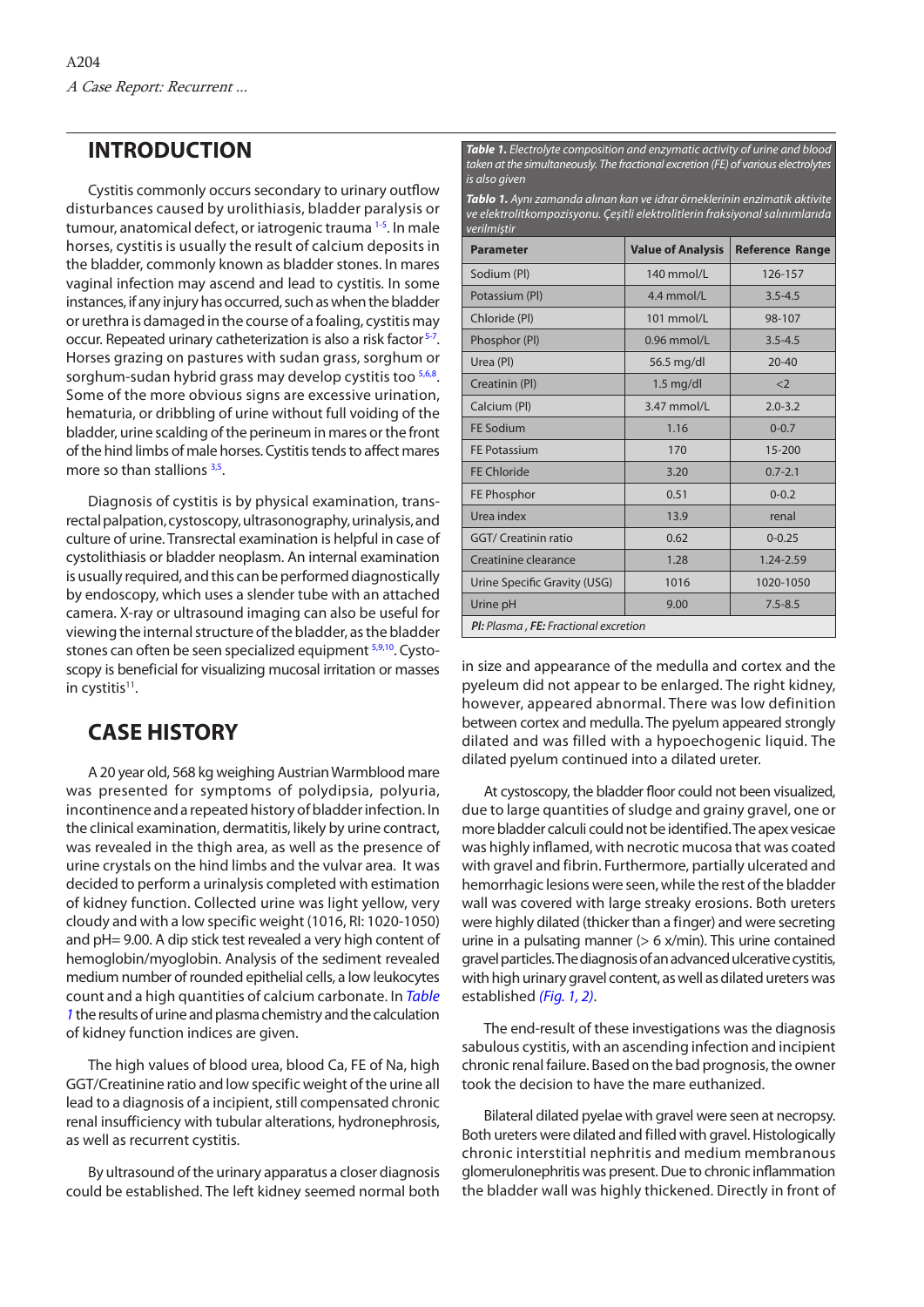### **INTRODUCTION**

Cystitis commonly occurs secondary to urinary outflow disturbances caused by urolithiasis, bladder paralysis or tumour, anatomical defect, or iatrogenic trauma<sup>[1-5](#page-3-0)</sup>. In male horses, cystitis is usually the result of calcium deposits in the bladder, commonly known as bladder stones. In mares vaginal infection may ascend and lead to cystitis. In some instances, if any injury has occurred, such as when the bladder or urethra is damaged in the course of a foaling, cystitis may occur. Repeated urinary catheterization is also a risk factor<sup>5-7</sup>. Horses grazing on pastures with sudan grass, sorghum or sorghum-sudan hybrid grass may develop cystitis too [5,6,8.](#page-3-0) Some of the more obvious signs are excessive urination, hematuria, or dribbling of urine without full voiding of the bladder, urine scalding of the perineum in mares or the front of the hind limbs of male horses. Cystitis tends to affect mares more so than stallions [3,5.](#page-3-0)

Diagnosis of cystitis is by physical examination, transrectal palpation, cystoscopy, ultrasonography, urinalysis, and culture of urine. Transrectal examination is helpful in case of cystolithiasis or bladder neoplasm. An internal examination is usually required, and this can be performed diagnostically by endoscopy, which uses a slender tube with an attached camera. X-ray or ultrasound imaging can also be useful for viewing the internal structure of the bladder, as the bladder stones can often be seen specialized equipment  $5,9,10$ . Cystoscopy is beneficial for visualizing mucosal irritation or masses in cystitis<sup>11</sup>.

## **CASE HISTORY**

A 20 year old, 568 kg weighing Austrian Warmblood mare was presented for symptoms of polydipsia, polyuria, incontinence and a repeated history of bladder infection. In the clinical examination, dermatitis, likely by urine contract, was revealed in the thigh area, as well as the presence of urine crystals on the hind limbs and the vulvar area. It was decided to perform a urinalysis completed with estimation of kidney function. Collected urine was light yellow, very cloudy and with a low specific weight (1016, RI: 1020-1050) and pH= 9.00. A dip stick test revealed a very high content of hemoglobin/myoglobin. Analysis of the sediment revealed medium number of rounded epithelial cells, a low leukocytes count and a high quantities of calcium carbonate. In *Table 1* the results of urine and plasma chemistry and the calculation of kidney function indices are given.

The high values of blood urea, blood Ca, FE of Na, high GGT/Creatinine ratio and low specific weight of the urine all lead to a diagnosis of a incipient, still compensated chronic renal insufficiency with tubular alterations, hydronephrosis, as well as recurrent cystitis.

By ultrasound of the urinary apparatus a closer diagnosis could be established. The left kidney seemed normal both

*Table 1. Electrolyte composition and enzymatic activity of urine and blood taken at the simultaneously. The fractional excretion (FE) of various electrolytes is also given*

*Tablo 1. Aynı zamanda alınan kan ve idrar örneklerinin enzimatik aktivite ve elektrolitkompozisyonu. Çeşitli elektrolitlerin fraksiyonal salınımlarıda verilmiştir*

| <b>Parameter</b>                     | <b>Value of Analysis</b> | <b>Reference Range</b> |
|--------------------------------------|--------------------------|------------------------|
| Sodium (PI)                          | 140 mmol/L               | 126-157                |
| Potassium (PI)                       | 4.4 mmol/L               | $3.5 - 4.5$            |
| Chloride (PI)                        | 101 mmol/L               | 98-107                 |
| Phosphor (PI)                        | $0.96$ mmol/L            | $3.5 - 4.5$            |
| Urea (PI)                            | 56.5 mg/dl               | $20 - 40$              |
| Creatinin (PI)                       | $1.5$ mg/dl              | $<$ 2                  |
| Calcium (PI)                         | 3.47 mmol/L              | $2.0 - 3.2$            |
| <b>FF Sodium</b>                     | 1.16                     | $0 - 0.7$              |
| <b>FF Potassium</b>                  | 170                      | $15 - 200$             |
| FF Chloride                          | 3.20                     | $0.7 - 2.1$            |
| FE Phosphor                          | 0.51                     | $0 - 0.2$              |
| Urea index                           | 13.9                     | renal                  |
| <b>GGT/ Creatinin ratio</b>          | 0.62                     | $0 - 0.25$             |
| Creatinine clearance                 | 1.28                     | 1.24-2.59              |
| Urine Specific Gravity (USG)         | 1016                     | 1020-1050              |
| Urine pH                             | 9.00                     | $7.5 - 8.5$            |
| PI: Plasma, FE: Fractional excretion |                          |                        |

in size and appearance of the medulla and cortex and the pyeleum did not appear to be enlarged. The right kidney, however, appeared abnormal. There was low definition between cortex and medulla. The pyelum appeared strongly dilated and was filled with a hypoechogenic liquid. The dilated pyelum continued into a dilated ureter.

At cystoscopy, the bladder floor could not been visualized, due to large quantities of sludge and grainy gravel, one or more bladder calculi could not be identified. The apex vesicae was highly inflamed, with necrotic mucosa that was coated with gravel and fibrin. Furthermore, partially ulcerated and hemorrhagic lesions were seen, while the rest of the bladder wall was covered with large streaky erosions. Both ureters were highly dilated (thicker than a finger) and were secreting urine in a pulsating manner  $(> 6 \times$ /min). This urine contained gravel particles. The diagnosis of an advanced ulcerative cystitis, with high urinary gravel content, as well as dilated ureters was established *[\(Fig. 1,](#page-2-0) [2\)](#page-2-0)*.

The end-result of these investigations was the diagnosis sabulous cystitis, with an ascending infection and incipient chronic renal failure. Based on the bad prognosis, the owner took the decision to have the mare euthanized.

Bilateral dilated pyelae with gravel were seen at necropsy. Both ureters were dilated and filled with gravel. Histologically chronic interstitial nephritis and medium membranous glomerulonephritis was present. Due to chronic inflammation the bladder wall was highly thickened. Directly in front of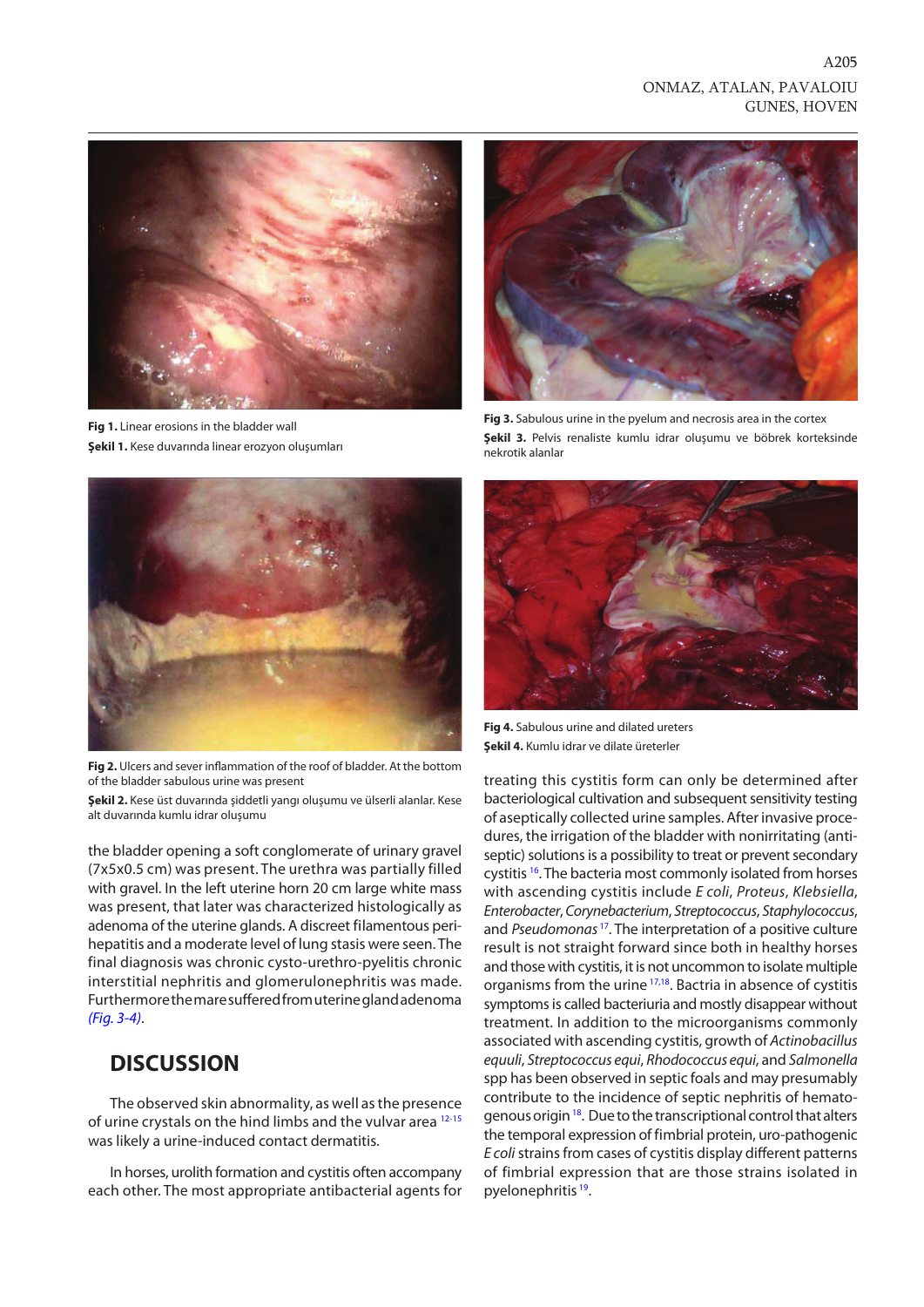### ONMAZ, ATALAN, PAVALOIU GUNES, HOVEN

A205

<span id="page-2-0"></span>

**Fig 1.** Linear erosions in the bladder wall **Şekil 1.** Kese duvarında linear erozyon oluşumları



**Fig 2.** Ulcers and sever inflammation of the roof of bladder. At the bottom of the bladder sabulous urine was present

**Şekil 2.** Kese üst duvarında şiddetli yangı oluşumu ve ülserli alanlar. Kese alt duvarında kumlu idrar oluşumu

the bladder opening a soft conglomerate of urinary gravel (7x5x0.5 cm) was present. The urethra was partially filled with gravel. In the left uterine horn 20 cm large white mass was present, that later was characterized histologically as adenoma of the uterine glands. A discreet filamentous perihepatitis and a moderate level of lung stasis were seen. The final diagnosis was chronic cysto-urethro-pyelitis chronic interstitial nephritis and glomerulonephritis was made. Furthermore the mare suffered from uterine gland adenoma *(Fig. 3-4)*.

### **DISCUSSION**

The observed skin abnormality, as well as the presence of urine crystals on the hind limbs and the vulvar area [12-15](#page-3-0) was likely a urine-induced contact dermatitis.

In horses, urolith formation and cystitis often accompany each other. The most appropriate antibacterial agents for



**Fig 3.** Sabulous urine in the pyelum and necrosis area in the cortex **Şekil 3.** Pelvis renaliste kumlu idrar oluşumu ve böbrek korteksinde nekrotik alanlar



**Fig 4.** Sabulous urine and dilated ureters **Şekil 4.** Kumlu idrar ve dilate üreterler

treating this cystitis form can only be determined after bacteriological cultivation and subsequent sensitivity testing of aseptically collected urine samples. After invasive procedures, the irrigation of the bladder with nonirritating (antiseptic) solutions is a possibility to treat or prevent secondary cystitis <sup>16</sup>. The bacteria most commonly isolated from horses with ascending cystitis include *E coli*, *Proteus*, *Klebsiella*, *Enterobacter*, *Corynebacterium*, *Streptococcus*, *Staphylococcus*, and *Pseudomonas* [17.](#page-3-0) The interpretation of a positive culture result is not straight forward since both in healthy horses and those with cystitis, it is not uncommon to isolate multiple organisms from the urine [17,18.](#page-3-0) Bactria in absence of cystitis symptoms is called bacteriuria and mostly disappear without treatment. In addition to the microorganisms commonly associated with ascending cystitis, growth of *Actinobacillus equuli*, *Streptococcus equi*, *Rhodococcus equi*, and *Salmonella* spp has been observed in septic foals and may presumably contribute to the incidence of septic nephritis of hematogenous origin [18.](#page-3-0) Due to the transcriptional control that alters the temporal expression of fimbrial protein, uro-pathogenic *E coli* strains from cases of cystitis display different patterns of fimbrial expression that are those strains isolated in pyelonephritis<sup>19</sup>.